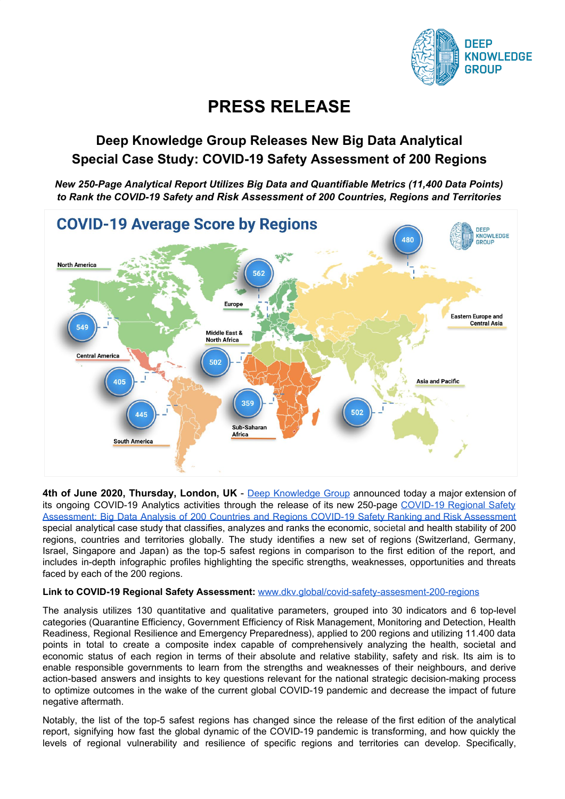

# **PRESS RELEASE**

# **Deep Knowledge Group Releases New Big Data Analytical Special Case Study: COVID-19 Safety Assessment of 200 Regions**

*New 250-Page Analytical Report Utilizes Big Data and Quantifiable Metrics (11,400 Data Points) to Rank the COVID-19 Safety and Risk Assessment of 200 Countries, Regions and Territories*



**4th of June 2020, Thursday, London, UK** - Deep [Knowledge](https://www.dkv.global/) Group announced today a major extension of its ongoing [COVID-19](https://www.dkv.global/covid-safety-assesment-200-regions) Analytics activities through the release of its new 250-page COVID-19 Regional Safety [Assessment:](https://www.dkv.global/covid-safety-assesment-200-regions) Big Data Analysis of 200 Countries and Regions COVID-19 Safety Ranking and Risk Assessment special analytical case study that classifies, analyzes and ranks the economic, societal and health stability of 200 regions, countries and territories globally. The study identifies a new set of regions (Switzerland, Germany, Israel, Singapore and Japan) as the top-5 safest regions in comparison to the first edition of the report, and includes in-depth infographic profiles highlighting the specific strengths, weaknesses, opportunities and threats faced by each of the 200 regions.

#### **Link to COVID-19 Regional Safety Assessment:** [www.dkv.global/covid-safety-assesment-200-regions](https://www.dkv.global/covid-safety-assesment-200-regions)

The analysis utilizes 130 quantitative and qualitative parameters, grouped into 30 indicators and 6 top-level categories (Quarantine Efficiency, Government Efficiency of Risk Management, Monitoring and Detection, Health Readiness, Regional Resilience and Emergency Preparedness), applied to 200 regions and utilizing 11.400 data points in total to create a composite index capable of comprehensively analyzing the health, societal and economic status of each region in terms of their absolute and relative stability, safety and risk. Its aim is to enable responsible governments to learn from the strengths and weaknesses of their neighbours, and derive action-based answers and insights to key questions relevant for the national strategic decision-making process to optimize outcomes in the wake of the current global COVID-19 pandemic and decrease the impact of future negative aftermath.

Notably, the list of the top-5 safest regions has changed since the release of the first edition of the analytical report, signifying how fast the global dynamic of the COVID-19 pandemic is transforming, and how quickly the levels of regional vulnerability and resilience of specific regions and territories can develop. Specifically,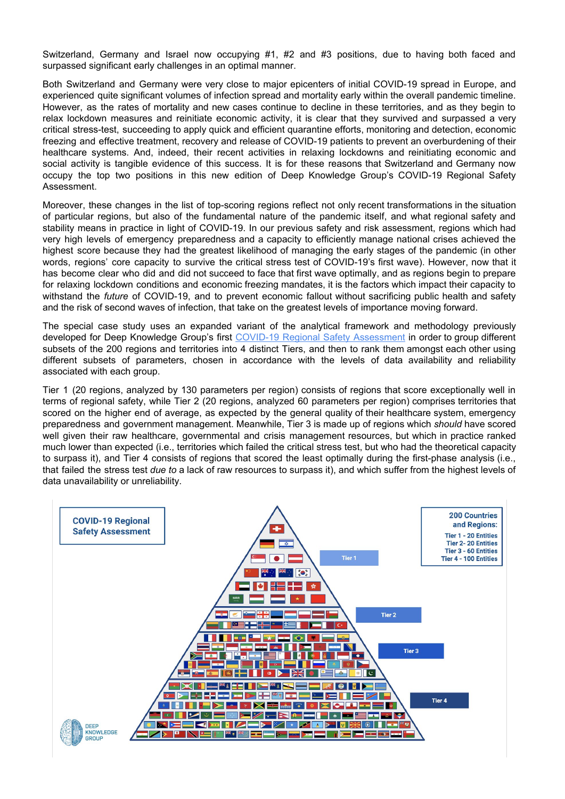Switzerland, Germany and Israel now occupying #1, #2 and #3 positions, due to having both faced and surpassed significant early challenges in an optimal manner.

Both Switzerland and Germany were very close to major epicenters of initial COVID-19 spread in Europe, and experienced quite significant volumes of infection spread and mortality early within the overall pandemic timeline. However, as the rates of mortality and new cases continue to decline in these territories, and as they begin to relax lockdown measures and reinitiate economic activity, it is clear that they survived and surpassed a very critical stress-test, succeeding to apply quick and efficient quarantine efforts, monitoring and detection, economic freezing and effective treatment, recovery and release of COVID-19 patients to prevent an overburdening of their healthcare systems. And, indeed, their recent activities in relaxing lockdowns and reinitiating economic and social activity is tangible evidence of this success. It is for these reasons that Switzerland and Germany now occupy the top two positions in this new edition of Deep Knowledge Group's COVID-19 Regional Safety Assessment.

Moreover, these changes in the list of top-scoring regions reflect not only recent transformations in the situation of particular regions, but also of the fundamental nature of the pandemic itself, and what regional safety and stability means in practice in light of COVID-19. In our previous safety and risk assessment, regions which had very high levels of emergency preparedness and a capacity to efficiently manage national crises achieved the highest score because they had the greatest likelihood of managing the early stages of the pandemic (in other words, regions' core capacity to survive the critical stress test of COVID-19's first wave). However, now that it has become clear who did and did not succeed to face that first wave optimally, and as regions begin to prepare for relaxing lockdown conditions and economic freezing mandates, it is the factors which impact their capacity to withstand the *future* of COVID-19, and to prevent economic fallout without sacrificing public health and safety and the risk of second waves of infection, that take on the greatest levels of importance moving forward.

The special case study uses an expanded variant of the analytical framework and methodology previously developed for Deep Knowledge Group's first COVID-19 Regional Safety [Assessment](https://www.dkv.global/covid-regional-assessment) in order to group different subsets of the 200 regions and territories into 4 distinct Tiers, and then to rank them amongst each other using different subsets of parameters, chosen in accordance with the levels of data availability and reliability associated with each group.

Tier 1 (20 regions, analyzed by 130 parameters per region) consists of regions that score exceptionally well in terms of regional safety, while Tier 2 (20 regions, analyzed 60 parameters per region) comprises territories that scored on the higher end of average, as expected by the general quality of their healthcare system, emergency preparedness and government management. Meanwhile, Tier 3 is made up of regions which *should* have scored well given their raw healthcare, governmental and crisis management resources, but which in practice ranked much lower than expected (i.e., territories which failed the critical stress test, but who had the theoretical capacity to surpass it), and Tier 4 consists of regions that scored the least optimally during the first-phase analysis (i.e., that failed the stress test *due to* a lack of raw resources to surpass it), and which suffer from the highest levels of data unavailability or unreliability.

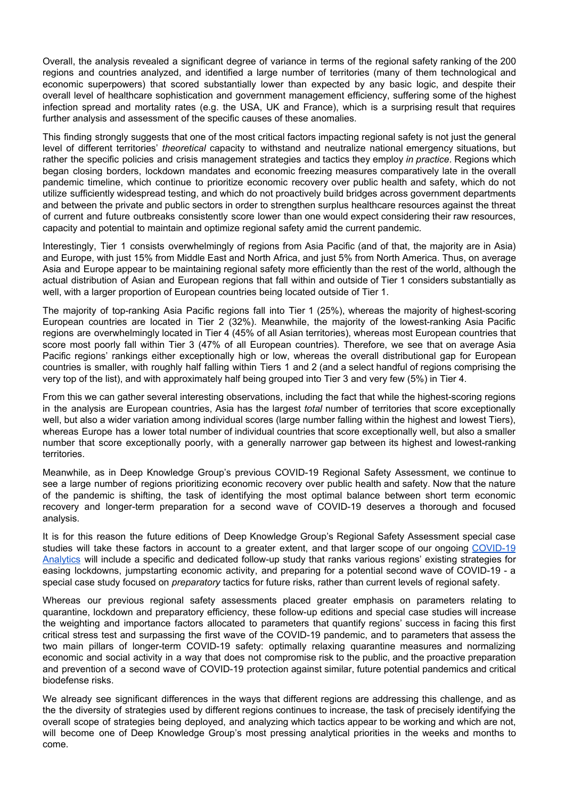Overall, the analysis revealed a significant degree of variance in terms of the regional safety ranking of the 200 regions and countries analyzed, and identified a large number of territories (many of them technological and economic superpowers) that scored substantially lower than expected by any basic logic, and despite their overall level of healthcare sophistication and government management efficiency, suffering some of the highest infection spread and mortality rates (e.g. the USA, UK and France), which is a surprising result that requires further analysis and assessment of the specific causes of these anomalies.

This finding strongly suggests that one of the most critical factors impacting regional safety is not just the general level of different territories' *theoretical* capacity to withstand and neutralize national emergency situations, but rather the specific policies and crisis management strategies and tactics they employ *in practice*. Regions which began closing borders, lockdown mandates and economic freezing measures comparatively late in the overall pandemic timeline, which continue to prioritize economic recovery over public health and safety, which do not utilize sufficiently widespread testing, and which do not proactively build bridges across government departments and between the private and public sectors in order to strengthen surplus healthcare resources against the threat of current and future outbreaks consistently score lower than one would expect considering their raw resources, capacity and potential to maintain and optimize regional safety amid the current pandemic.

Interestingly, Tier 1 consists overwhelmingly of regions from Asia Pacific (and of that, the majority are in Asia) and Europe, with just 15% from Middle East and North Africa, and just 5% from North America. Thus, on average Asia and Europe appear to be maintaining regional safety more efficiently than the rest of the world, although the actual distribution of Asian and European regions that fall within and outside of Tier 1 considers substantially as well, with a larger proportion of European countries being located outside of Tier 1.

The majority of top-ranking Asia Pacific regions fall into Tier 1 (25%), whereas the majority of highest-scoring European countries are located in Tier 2 (32%). Meanwhile, the majority of the lowest-ranking Asia Pacific regions are overwhelmingly located in Tier 4 (45% of all Asian territories), whereas most European countries that score most poorly fall within Tier 3 (47% of all European countries). Therefore, we see that on average Asia Pacific regions' rankings either exceptionally high or low, whereas the overall distributional gap for European countries is smaller, with roughly half falling within Tiers 1 and 2 (and a select handful of regions comprising the very top of the list), and with approximately half being grouped into Tier 3 and very few (5%) in Tier 4.

From this we can gather several interesting observations, including the fact that while the highest-scoring regions in the analysis are European countries, Asia has the largest *total* number of territories that score exceptionally well, but also a wider variation among individual scores (large number falling within the highest and lowest Tiers), whereas Europe has a lower total number of individual countries that score exceptionally well, but also a smaller number that score exceptionally poorly, with a generally narrower gap between its highest and lowest-ranking territories.

Meanwhile, as in Deep Knowledge Group's previous COVID-19 Regional Safety Assessment, we continue to see a large number of regions prioritizing economic recovery over public health and safety. Now that the nature of the pandemic is shifting, the task of identifying the most optimal balance between short term economic recovery and longer-term preparation for a second wave of COVID-19 deserves a thorough and focused analysis.

It is for this reason the future editions of Deep Knowledge Group's Regional Safety Assessment special case studies will take these factors in account to a greater extent, and that larger scope of our ongoing [COVID-19](https://www.dkv.global/covid) [Analytics](https://www.dkv.global/covid) will include a specific and dedicated follow-up study that ranks various regions' existing strategies for easing lockdowns, jumpstarting economic activity, and preparing for a potential second wave of COVID-19 - a special case study focused on *preparatory* tactics for future risks, rather than current levels of regional safety.

Whereas our previous regional safety assessments placed greater emphasis on parameters relating to quarantine, lockdown and preparatory efficiency, these follow-up editions and special case studies will increase the weighting and importance factors allocated to parameters that quantify regions' success in facing this first critical stress test and surpassing the first wave of the COVID-19 pandemic, and to parameters that assess the two main pillars of longer-term COVID-19 safety: optimally relaxing quarantine measures and normalizing economic and social activity in a way that does not compromise risk to the public, and the proactive preparation and prevention of a second wave of COVID-19 protection against similar, future potential pandemics and critical biodefense risks.

We already see significant differences in the ways that different regions are addressing this challenge, and as the the diversity of strategies used by different regions continues to increase, the task of precisely identifying the overall scope of strategies being deployed, and analyzing which tactics appear to be working and which are not, will become one of Deep Knowledge Group's most pressing analytical priorities in the weeks and months to come.